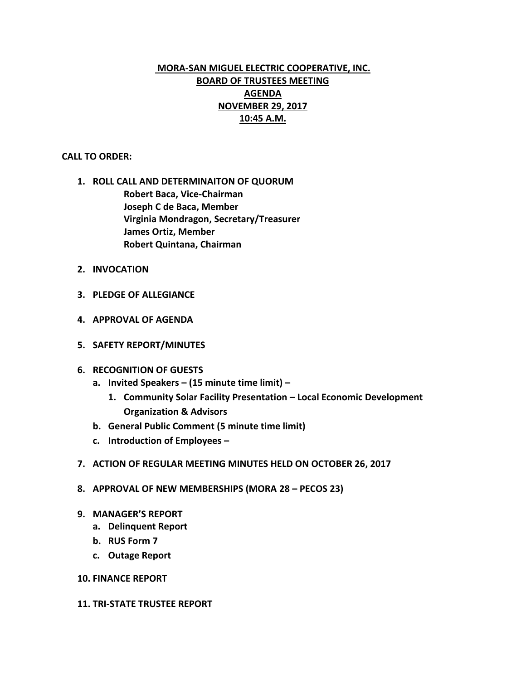# **MORA-SAN MIGUEL ELECTRIC COOPERATIVE, INC. BOARD OF TRUSTEES MEETING AGENDA NOVEMBER 29, 2017 10:45 A.M.**

## **CALL TO ORDER:**

- **1. ROLL CALL AND DETERMINAITON OF QUORUM Robert Baca, Vice-Chairman Joseph C de Baca, Member Virginia Mondragon, Secretary/Treasurer James Ortiz, Member Robert Quintana, Chairman**
- **2. INVOCATION**
- **3. PLEDGE OF ALLEGIANCE**
- **4. APPROVAL OF AGENDA**
- **5. SAFETY REPORT/MINUTES**
- **6. RECOGNITION OF GUESTS**
	- **a. Invited Speakers – (15 minute time limit) –**
		- **1. Community Solar Facility Presentation – Local Economic Development Organization & Advisors**
	- **b. General Public Comment (5 minute time limit)**
	- **c. Introduction of Employees –**
- **7. ACTION OF REGULAR MEETING MINUTES HELD ON OCTOBER 26, 2017**
- **8. APPROVAL OF NEW MEMBERSHIPS (MORA 28 – PECOS 23)**
- **9. MANAGER'S REPORT**
	- **a. Delinquent Report**
	- **b. RUS Form 7**
	- **c. Outage Report**
- **10. FINANCE REPORT**
- **11. TRI-STATE TRUSTEE REPORT**